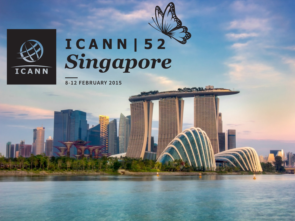

**That is well** 

# ICANN | 52<br>Singapore

**AND ACTION OF THE** 

8-12 FEBRUARY 2015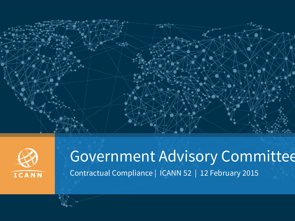



## Government Advisory Committee Contractual Compliance | ICANN 52 | 12 February 2015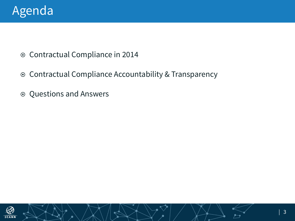

- ¤ Contractual Compliance in 2014
- ¤ Contractual Compliance Accountability & Transparency
- $\odot$  Questions and Answers

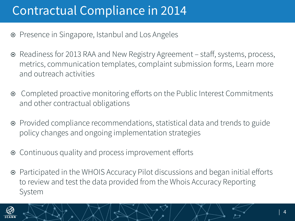## Contractual Compliance in 2014

- ¤ Presence in Singapore, Istanbul and Los Angeles
- ¤ Readiness for 2013 RAA and New Registry Agreement staff, systems, process, metrics, communication templates, complaint submission forms, Learn more and outreach activities
- Completed proactive monitoring efforts on the Public Interest Commitments and other contractual obligations
- ¤ Provided compliance recommendations, statistical data and trends to guide policy changes and ongoing implementation strategies
- Continuous quality and process improvement efforts
- ¤ Participated in the WHOIS Accuracy Pilot discussions and began initial efforts to review and test the data provided from the Whois Accuracy Reporting System

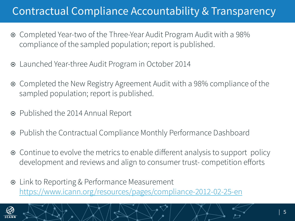#### Contractual Compliance Accountability & Transparency

- ¤ Completed Year-two of the Three-Year Audit Program Audit with a 98% compliance of the sampled population; report is published.
- ¤ Launched Year-three Audit Program in October 2014
- ¤ Completed the New Registry Agreement Audit with a 98% compliance of the sampled population; report is published.
- ¤ Published the 2014 Annual Report
- ¤ Publish the Contractual Compliance Monthly Performance Dashboard
- Continue to evolve the metrics to enable different analysis to support policy development and reviews and align to consumer trust- competition efforts
- **■** Link to Reporting & Performance Measurement https://www.icann.org/resources/pages/compliance-2012-02-25-en

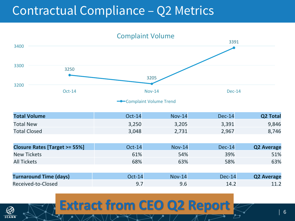## Contractual Compliance – Q2 Metrics

3250 3205 3391 3200 3300 3400 Oct-14 Dec-14 Complaint Volume **-**Complaint Volume Trend **Total Volume COLOGY CONTACT CONTACT ACCOUNT OCT-14 Nov-14** Dec-14 **Q2 Total** Total New 3,250 3,250 3,205 3,391 9,846 Total Closed 3,048 2,731 2,967 8,746 **Closure Rates [Target >= 55%]**  $Oct-14$  Nov-14 Dec-14 **Q2 Average** New Tickets **61% 54% 54% 51% 51% 51% 51% 51% 51% 51%** All Tickets 68% 63% 58% 63% **Turnaround Time (days)**  $\qquad$  0ct-14 Nov-14 Dec-14 Q2 Average Received-to-Closed 9.7 9.6 14.2 11.2